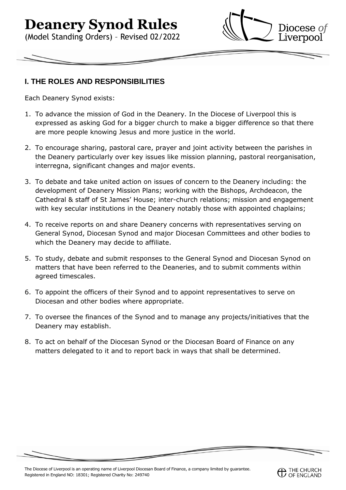# **Deanery Synod Rules**

(Model Standing Orders) – Revised 02/2022



#### **I. THE ROLES AND RESPONSIBILITIES**

Each Deanery Synod exists:

- 1. To advance the mission of God in the Deanery. In the Diocese of Liverpool this is expressed as asking God for a bigger church to make a bigger difference so that there are more people knowing Jesus and more justice in the world.
- 2. To encourage sharing, pastoral care, prayer and joint activity between the parishes in the Deanery particularly over key issues like mission planning, pastoral reorganisation, interregna, significant changes and major events.
- 3. To debate and take united action on issues of concern to the Deanery including: the development of Deanery Mission Plans; working with the Bishops, Archdeacon, the Cathedral & staff of St James' House; inter-church relations; mission and engagement with key secular institutions in the Deanery notably those with appointed chaplains;
- 4. To receive reports on and share Deanery concerns with representatives serving on General Synod, Diocesan Synod and major Diocesan Committees and other bodies to which the Deanery may decide to affiliate.
- 5. To study, debate and submit responses to the General Synod and Diocesan Synod on matters that have been referred to the Deaneries, and to submit comments within agreed timescales.
- 6. To appoint the officers of their Synod and to appoint representatives to serve on Diocesan and other bodies where appropriate.
- 7. To oversee the finances of the Synod and to manage any projects/initiatives that the Deanery may establish.
- 8. To act on behalf of the Diocesan Synod or the Diocesan Board of Finance on any matters delegated to it and to report back in ways that shall be determined.

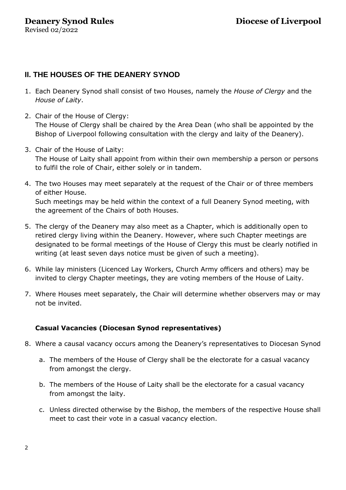#### **II. THE HOUSES OF THE DEANERY SYNOD**

- 1. Each Deanery Synod shall consist of two Houses, namely the *House of Clergy* and the *House of Laity*.
- 2. Chair of the House of Clergy: The House of Clergy shall be chaired by the Area Dean (who shall be appointed by the Bishop of Liverpool following consultation with the clergy and laity of the Deanery).
- 3. Chair of the House of Laity: The House of Laity shall appoint from within their own membership a person or persons to fulfil the role of Chair, either solely or in tandem.
- 4. The two Houses may meet separately at the request of the Chair or of three members of either House. Such meetings may be held within the context of a full Deanery Synod meeting, with the agreement of the Chairs of both Houses.
- 5. The clergy of the Deanery may also meet as a Chapter, which is additionally open to retired clergy living within the Deanery. However, where such Chapter meetings are designated to be formal meetings of the House of Clergy this must be clearly notified in writing (at least seven days notice must be given of such a meeting).
- 6. While lay ministers (Licenced Lay Workers, Church Army officers and others) may be invited to clergy Chapter meetings, they are voting members of the House of Laity.
- 7. Where Houses meet separately, the Chair will determine whether observers may or may not be invited.

#### **Casual Vacancies (Diocesan Synod representatives)**

- 8. Where a causal vacancy occurs among the Deanery's representatives to Diocesan Synod
	- a. The members of the House of Clergy shall be the electorate for a casual vacancy from amongst the clergy.
	- b. The members of the House of Laity shall be the electorate for a casual vacancy from amongst the laity.
	- c. Unless directed otherwise by the Bishop, the members of the respective House shall meet to cast their vote in a casual vacancy election.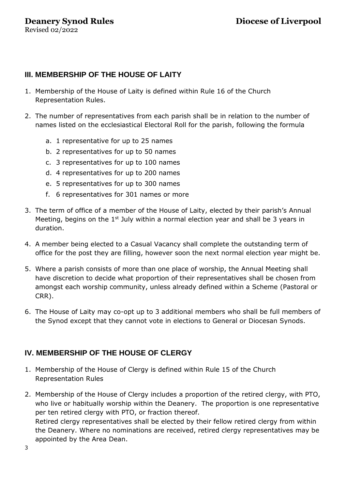## **III. MEMBERSHIP OF THE HOUSE OF LAITY**

- 1. Membership of the House of Laity is defined within Rule 16 of the Church Representation Rules.
- 2. The number of representatives from each parish shall be in relation to the number of names listed on the ecclesiastical Electoral Roll for the parish, following the formula
	- a. 1 representative for up to 25 names
	- b. 2 representatives for up to 50 names
	- c. 3 representatives for up to 100 names
	- d. 4 representatives for up to 200 names
	- e. 5 representatives for up to 300 names
	- f. 6 representatives for 301 names or more
- 3. The term of office of a member of the House of Laity, elected by their parish's Annual Meeting, begins on the  $1<sup>st</sup>$  July within a normal election year and shall be 3 years in duration.
- 4. A member being elected to a Casual Vacancy shall complete the outstanding term of office for the post they are filling, however soon the next normal election year might be.
- 5. Where a parish consists of more than one place of worship, the Annual Meeting shall have discretion to decide what proportion of their representatives shall be chosen from amongst each worship community, unless already defined within a Scheme (Pastoral or CRR).
- 6. The House of Laity may co-opt up to 3 additional members who shall be full members of the Synod except that they cannot vote in elections to General or Diocesan Synods.

## **IV. MEMBERSHIP OF THE HOUSE OF CLERGY**

- 1. Membership of the House of Clergy is defined within Rule 15 of the Church Representation Rules
- 2. Membership of the House of Clergy includes a proportion of the retired clergy, with PTO, who live or habitually worship within the Deanery. The proportion is one representative per ten retired clergy with PTO, or fraction thereof. Retired clergy representatives shall be elected by their fellow retired clergy from within the Deanery. Where no nominations are received, retired clergy representatives may be appointed by the Area Dean.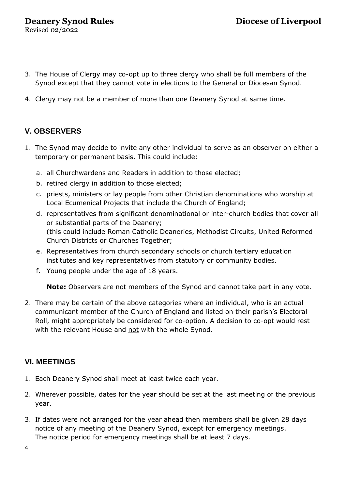Revised 02/2022

- 3. The House of Clergy may co-opt up to three clergy who shall be full members of the Synod except that they cannot vote in elections to the General or Diocesan Synod.
- 4. Clergy may not be a member of more than one Deanery Synod at same time.

## **V. OBSERVERS**

- 1. The Synod may decide to invite any other individual to serve as an observer on either a temporary or permanent basis. This could include:
	- a. all Churchwardens and Readers in addition to those elected;
	- b. retired clergy in addition to those elected;
	- c. priests, ministers or lay people from other Christian denominations who worship at Local Ecumenical Projects that include the Church of England;
	- d. representatives from significant denominational or inter-church bodies that cover all or substantial parts of the Deanery; (this could include Roman Catholic Deaneries, Methodist Circuits, United Reformed Church Districts or Churches Together;
	- e. Representatives from church secondary schools or church tertiary education institutes and key representatives from statutory or community bodies.
	- f. Young people under the age of 18 years.

**Note:** Observers are not members of the Synod and cannot take part in any vote.

2. There may be certain of the above categories where an individual, who is an actual communicant member of the Church of England and listed on their parish's Electoral Roll, might appropriately be considered for co-option. A decision to co-opt would rest with the relevant House and not with the whole Synod.

## **VI. MEETINGS**

- 1. Each Deanery Synod shall meet at least twice each year.
- 2. Wherever possible, dates for the year should be set at the last meeting of the previous year.
- 3. If dates were not arranged for the year ahead then members shall be given 28 days notice of any meeting of the Deanery Synod, except for emergency meetings. The notice period for emergency meetings shall be at least 7 days.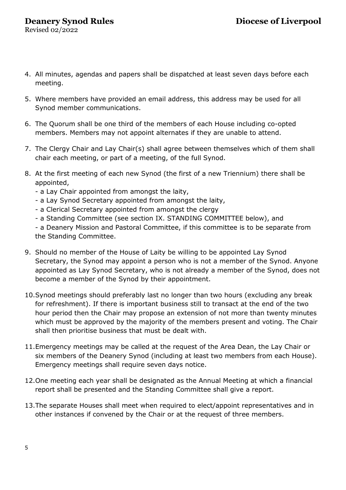Revised 02/2022

- 4. All minutes, agendas and papers shall be dispatched at least seven days before each meeting.
- 5. Where members have provided an email address, this address may be used for all Synod member communications.
- 6. The Quorum shall be one third of the members of each House including co-opted members. Members may not appoint alternates if they are unable to attend.
- 7. The Clergy Chair and Lay Chair(s) shall agree between themselves which of them shall chair each meeting, or part of a meeting, of the full Synod.
- 8. At the first meeting of each new Synod (the first of a new Triennium) there shall be appointed,
	- a Lay Chair appointed from amongst the laity,
	- a Lay Synod Secretary appointed from amongst the laity,
	- a Clerical Secretary appointed from amongst the clergy
	- a Standing Committee (see section IX. STANDING COMMITTEE below), and

- a Deanery Mission and Pastoral Committee, if this committee is to be separate from the Standing Committee.

- 9. Should no member of the House of Laity be willing to be appointed Lay Synod Secretary, the Synod may appoint a person who is not a member of the Synod. Anyone appointed as Lay Synod Secretary, who is not already a member of the Synod, does not become a member of the Synod by their appointment.
- 10.Synod meetings should preferably last no longer than two hours (excluding any break for refreshment). If there is important business still to transact at the end of the two hour period then the Chair may propose an extension of not more than twenty minutes which must be approved by the majority of the members present and voting. The Chair shall then prioritise business that must be dealt with.
- 11.Emergency meetings may be called at the request of the Area Dean, the Lay Chair or six members of the Deanery Synod (including at least two members from each House). Emergency meetings shall require seven days notice.
- 12.One meeting each year shall be designated as the Annual Meeting at which a financial report shall be presented and the Standing Committee shall give a report.
- 13.The separate Houses shall meet when required to elect/appoint representatives and in other instances if convened by the Chair or at the request of three members.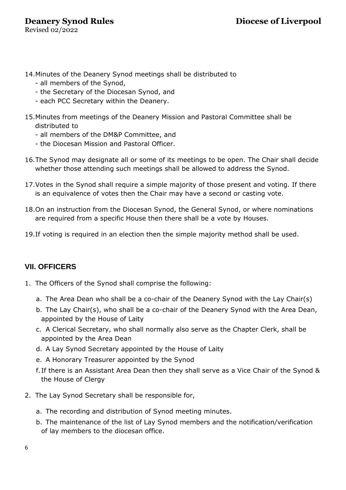# **Deanery Synod Rules Diocese of Liverpool**

Revised 02/2022

- 14.Minutes of the Deanery Synod meetings shall be distributed to
	- all members of the Synod,
	- the Secretary of the Diocesan Synod, and
	- each PCC Secretary within the Deanery.
- 15.Minutes from meetings of the Deanery Mission and Pastoral Committee shall be distributed to
	- all members of the DM&P Committee, and
	- the Diocesan Mission and Pastoral Officer.
- 16.The Synod may designate all or some of its meetings to be open. The Chair shall decide whether those attending such meetings shall be allowed to address the Synod.
- 17.Votes in the Synod shall require a simple majority of those present and voting. If there is an equivalence of votes then the Chair may have a second or casting vote.
- 18.On an instruction from the Diocesan Synod, the General Synod, or where nominations are required from a specific House then there shall be a vote by Houses.
- 19.If voting is required in an election then the simple majority method shall be used.

#### **VII. OFFICERS**

- 1. The Officers of the Synod shall comprise the following:
	- a. The Area Dean who shall be a co-chair of the Deanery Synod with the Lay Chair(s)
	- b. The Lay Chair(s), who shall be a co-chair of the Deanery Synod with the Area Dean, appointed by the House of Laity
	- c. A Clerical Secretary, who shall normally also serve as the Chapter Clerk, shall be appointed by the Area Dean
	- d. A Lay Synod Secretary appointed by the House of Laity
	- e. A Honorary Treasurer appointed by the Synod
	- f.If there is an Assistant Area Dean then they shall serve as a Vice Chair of the Synod & the House of Clergy
- 2. The Lay Synod Secretary shall be responsible for,
	- a. The recording and distribution of Synod meeting minutes.
	- b. The maintenance of the list of Lay Synod members and the notification/verification of lay members to the diocesan office.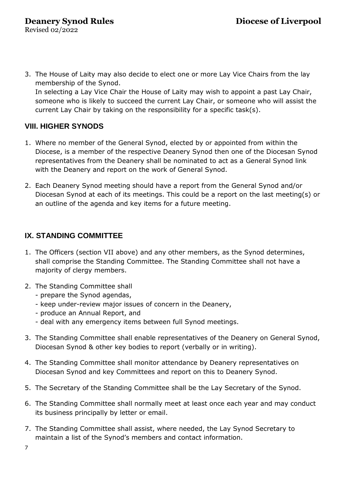3. The House of Laity may also decide to elect one or more Lay Vice Chairs from the lay membership of the Synod. In selecting a Lay Vice Chair the House of Laity may wish to appoint a past Lay Chair, someone who is likely to succeed the current Lay Chair, or someone who will assist the current Lay Chair by taking on the responsibility for a specific task(s).

# **VIII. HIGHER SYNODS**

- 1. Where no member of the General Synod, elected by or appointed from within the Diocese, is a member of the respective Deanery Synod then one of the Diocesan Synod representatives from the Deanery shall be nominated to act as a General Synod link with the Deanery and report on the work of General Synod.
- 2. Each Deanery Synod meeting should have a report from the General Synod and/or Diocesan Synod at each of its meetings. This could be a report on the last meeting(s) or an outline of the agenda and key items for a future meeting.

# **IX. STANDING COMMITTEE**

- 1. The Officers (section VII above) and any other members, as the Synod determines, shall comprise the Standing Committee. The Standing Committee shall not have a majority of clergy members.
- 2. The Standing Committee shall
	- prepare the Synod agendas,
	- keep under-review major issues of concern in the Deanery,
	- produce an Annual Report, and
	- deal with any emergency items between full Synod meetings.
- 3. The Standing Committee shall enable representatives of the Deanery on General Synod, Diocesan Synod & other key bodies to report (verbally or in writing).
- 4. The Standing Committee shall monitor attendance by Deanery representatives on Diocesan Synod and key Committees and report on this to Deanery Synod.
- 5. The Secretary of the Standing Committee shall be the Lay Secretary of the Synod.
- 6. The Standing Committee shall normally meet at least once each year and may conduct its business principally by letter or email.
- 7. The Standing Committee shall assist, where needed, the Lay Synod Secretary to maintain a list of the Synod's members and contact information.